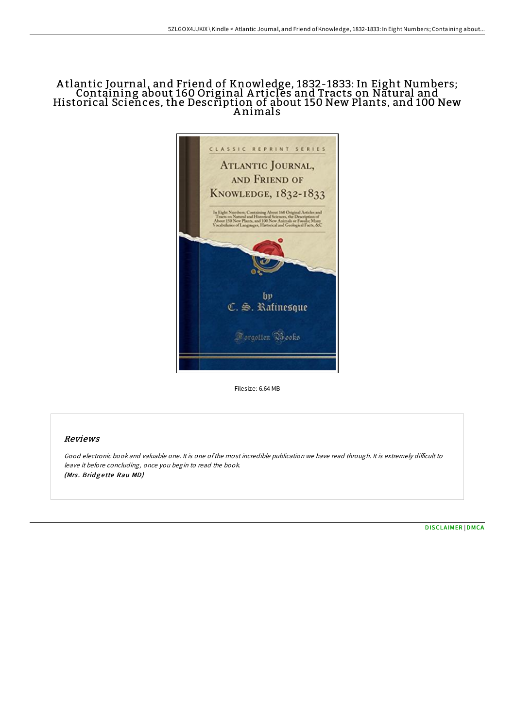## A tlantic Journal, and Friend of Knowledge, 1832-1833: In Eight Numbers; Containing about 160 Original A rticles and Tracts on Natural and Historical Sciences, the Description of about 150 New Plants, and 100 New A nimals



Filesize: 6.64 MB

# Reviews

Good electronic book and valuable one. It is one of the most incredible publication we have read through. It is extremely difficult to leave it before concluding, once you begin to read the book. (Mrs. Bridgette Rau MD)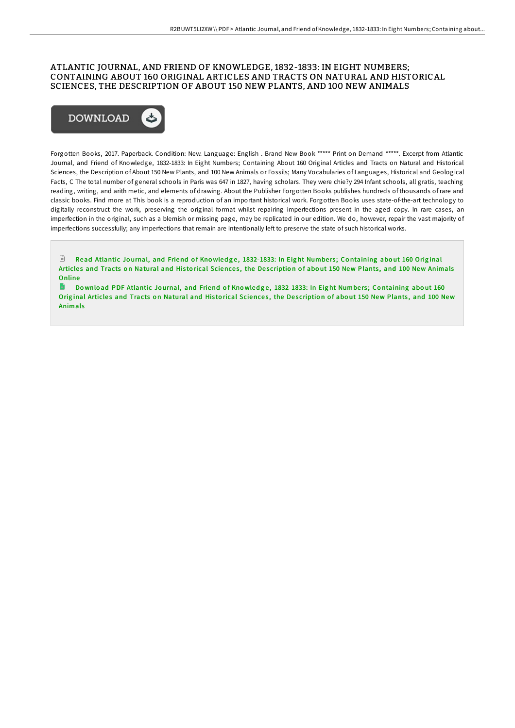### ATLANTIC JOURNAL, AND FRIEND OF KNOWLEDGE, 1832-1833: IN EIGHT NUMBERS; CONTAINING ABOUT 160 ORIGINAL ARTICLES AND TRACTS ON NATURAL AND HISTORICAL SCIENCES, THE DESCRIPTION OF ABOUT 150 NEW PLANTS, AND 100 NEW ANIMALS



Forgotten Books, 2017. Paperback. Condition: New. Language: English . Brand New Book \*\*\*\*\* Print on Demand \*\*\*\*\*. Excerpt from Atlantic Journal, and Friend of Knowledge, 1832-1833: In Eight Numbers; Containing About 160 Original Articles and Tracts on Natural and Historical Sciences, the Description of About 150 New Plants, and 100 New Animals or Fossils; Many Vocabularies of Languages, Historical and Geological Facts, C The total number of general schools in Paris was 647 in 1827, having scholars. They were chie?y 294 Infant schools, all gratis, teaching reading, writing, and arith metic, and elements of drawing. About the Publisher Forgotten Books publishes hundreds of thousands of rare and classic books. Find more at This book is a reproduction of an important historical work. Forgotten Books uses state-of-the-art technology to digitally reconstruct the work, preserving the original format whilst repairing imperfections present in the aged copy. In rare cases, an imperfection in the original, such as a blemish or missing page, may be replicated in our edition. We do, however, repair the vast majority of imperfections successfully; any imperfections that remain are intentionally left to preserve the state of such historical works.

 $\mathbb{R}$ Read Atlantic Journal, and Friend of Knowledge, [1832-1833:](http://almighty24.tech/atlantic-journal-and-friend-of-knowledge-1832-18.html) In Eight Numbers; Containing about 160 Original Articles and Tracts on Natural and Historical Sciences, the Description of about 150 New Plants, and 100 New Animals **Online** 

**P** Download PDF Atlantic Journal, and Friend of Knowledge, [1832-1833:](http://almighty24.tech/atlantic-journal-and-friend-of-knowledge-1832-18.html) In Eight Numbers; Containing about 160 Original Articles and Tracts on Natural and Historical Sciences, the Description of about 150 New Plants, and 100 New Animals